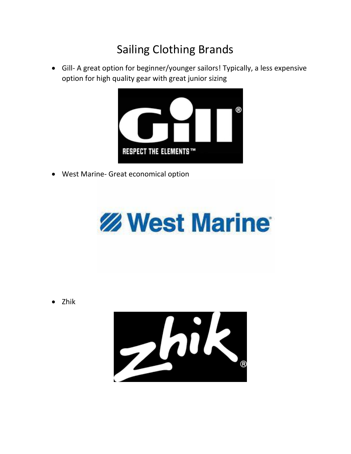## Sailing Clothing Brands

• Gill- A great option for beginner/younger sailors! Typically, a less expensive option for high quality gear with great junior sizing



• West Marine- Great economical option



• Zhik

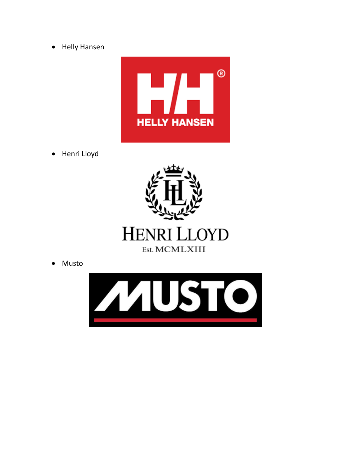• Helly Hansen



• Henri Lloyd



• Musto

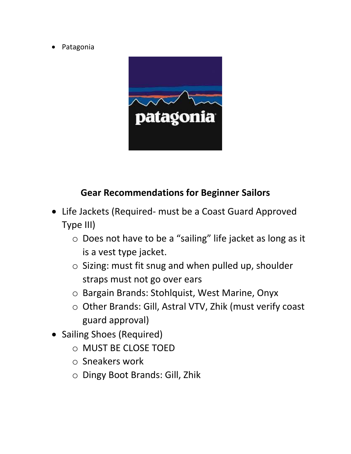• Patagonia



## **Gear Recommendations for Beginner Sailors**

- Life Jackets (Required- must be a Coast Guard Approved Type III)
	- o Does not have to be a "sailing" life jacket as long as it is a vest type jacket.
	- o Sizing: must fit snug and when pulled up, shoulder straps must not go over ears
	- o Bargain Brands: Stohlquist, West Marine, Onyx
	- o Other Brands: Gill, Astral VTV, Zhik (must verify coast guard approval)
- Sailing Shoes (Required)
	- o MUST BE CLOSE TOED
	- o Sneakers work
	- o Dingy Boot Brands: Gill, Zhik